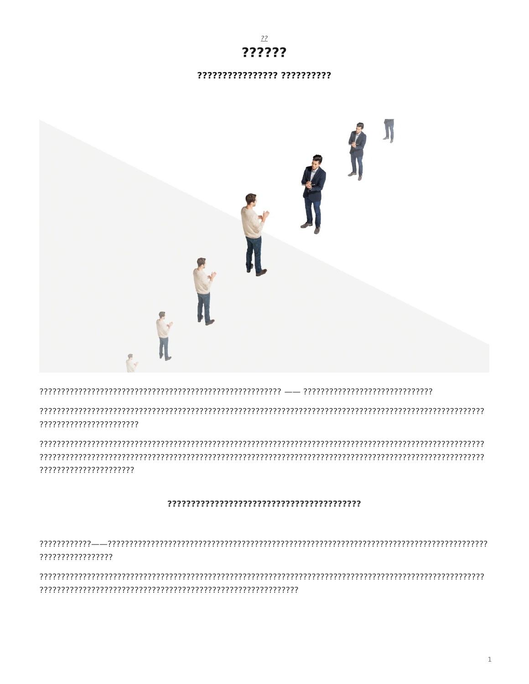#### $^{22}$ ??????

#### ???????????????? ??????????



#### 

???????????????????????

??????????????????????

#### 

?????????????????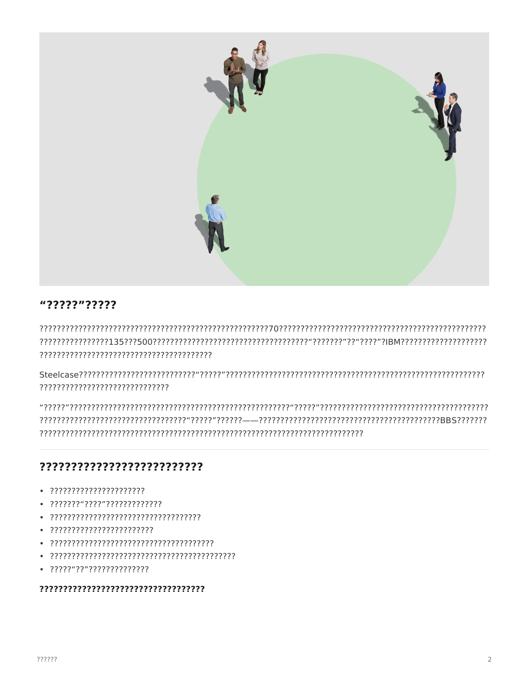

## "?????"?????

## ??????????????????????????

- 
- 
- 
- 
- 
- 
-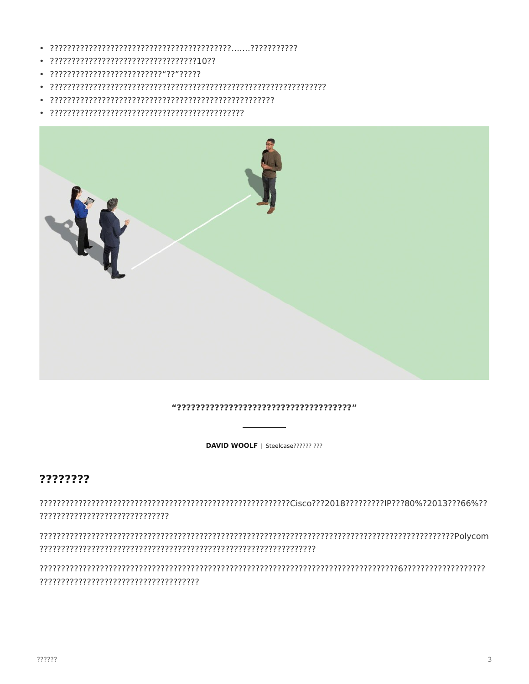- 
- $. 77777777777777777777777777777777710??$
- 
- 
- 
- 



#### "?????????????????????????????????????

DAVID WOOLF | Steelcase?????? ???

### ????????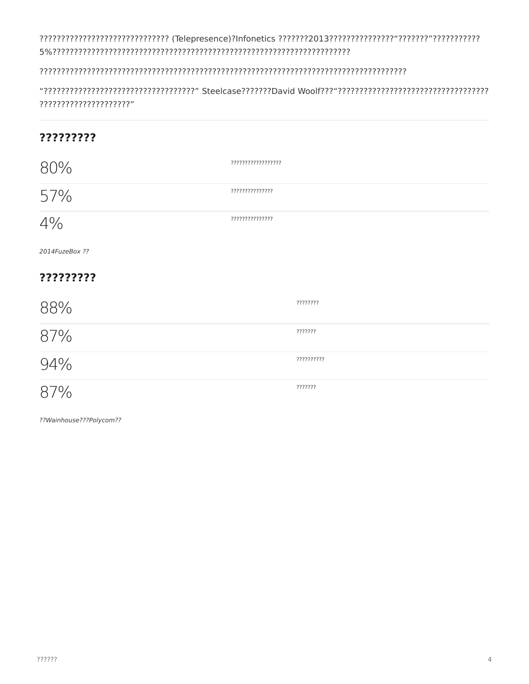### 

#### 

??????????????????????

## ?????????

| 80%            | ?????????????????? |
|----------------|--------------------|
| 57%            | ???????????????    |
| 4%             | ???????????????    |
| 2014FuzeBox ?? |                    |
| ?????????      |                    |
| 88%            | ????????           |
| 87%            | ???????            |
| 94%            | ??????????         |
| 87%            | ???????            |

??Wainhouse???Polycom??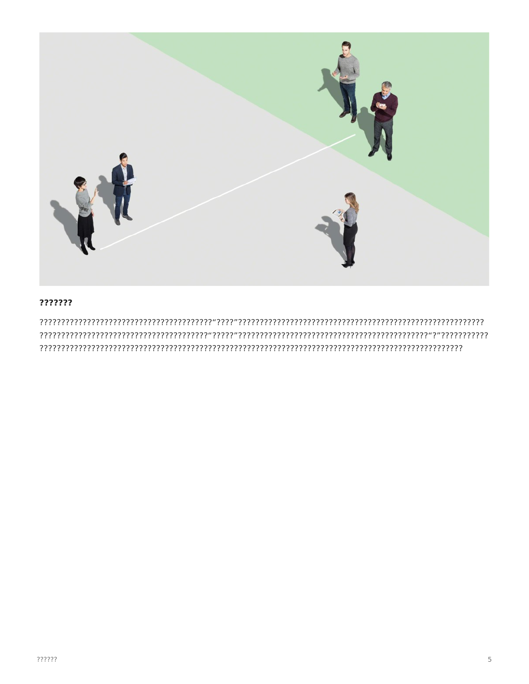

#### ???????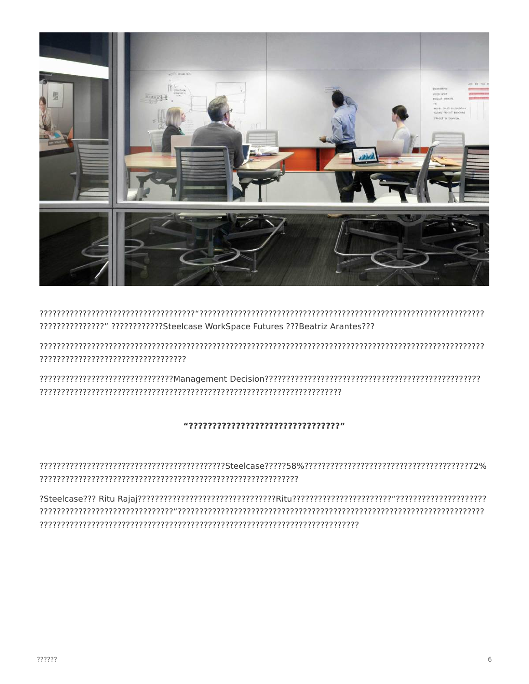

???????????????" ????????????Steelcase WorkSpace Futures ???Beatriz Arantes???

#### "?????????????????????????????????

####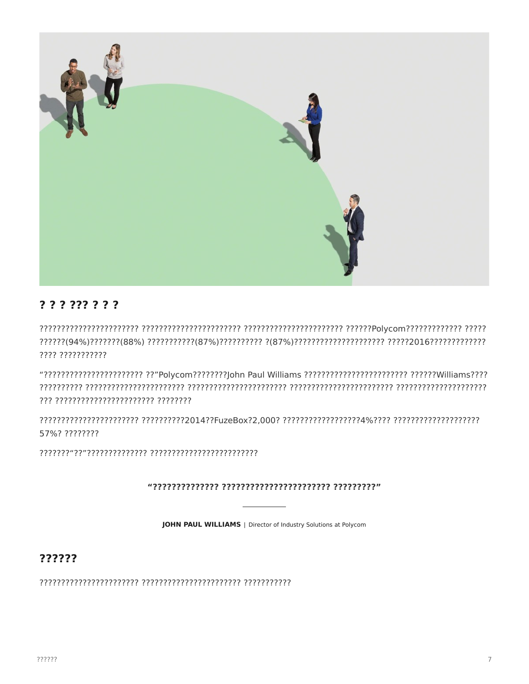

## ? ? ? ??? ? ? ?

???? ???????????

"??????????????????????????????Dolycom????????John Paul Williams ????????????????????????????Williams???? ??? ??????????????????????? ????????

57%? ????????

#### 

JOHN PAUL WILLIAMS | Director of Industry Solutions at Polycom

## ??????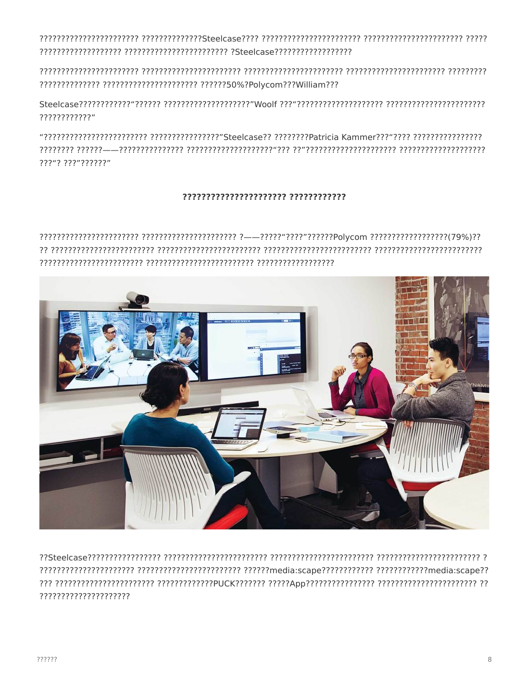????????????

???"? ???"??????"

#### ?????????????????????? ????????????



?????????????????????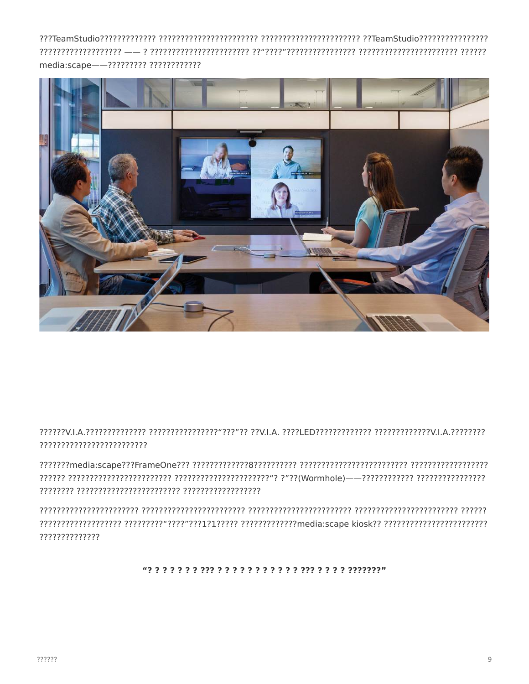media:scape--7???????? ????????????



?????????????????????????

??????????????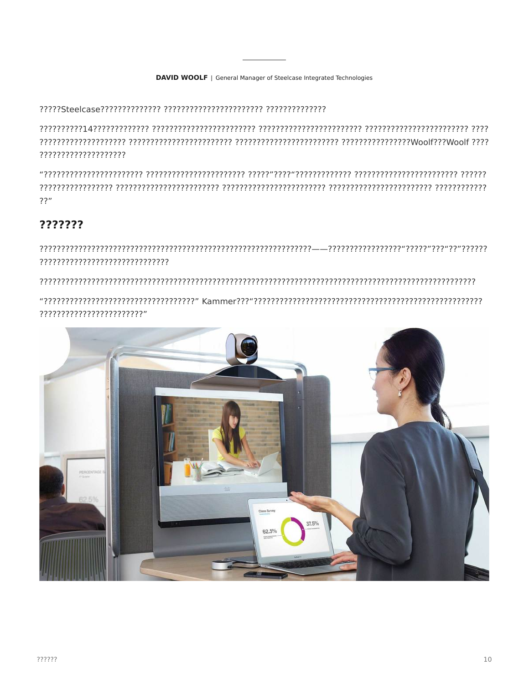DAVID WOOLF | General Manager of Steelcase Integrated Technologies

????????????????????

 $77"$ 

# ???????

?????????????????????????

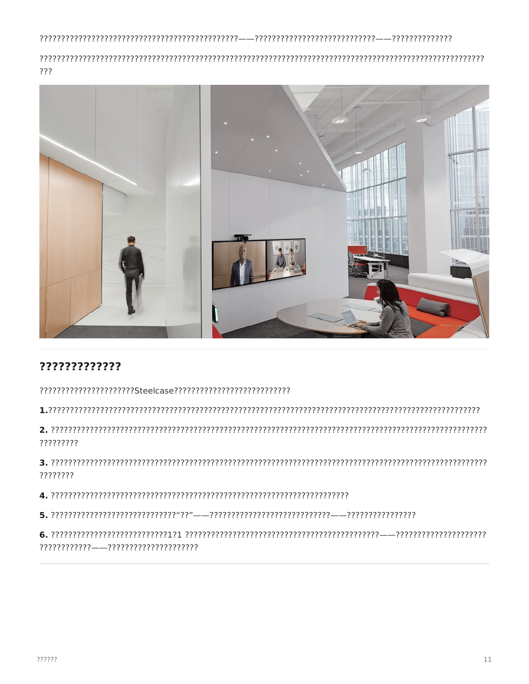???



## ?????????????

?????????

????????

 $? ? ? ? ? ? ? ? ? ? ? ? ? ? ? ? ? ? ? ? ? ? ? ? ? ? ? ? ? ? ? ?$